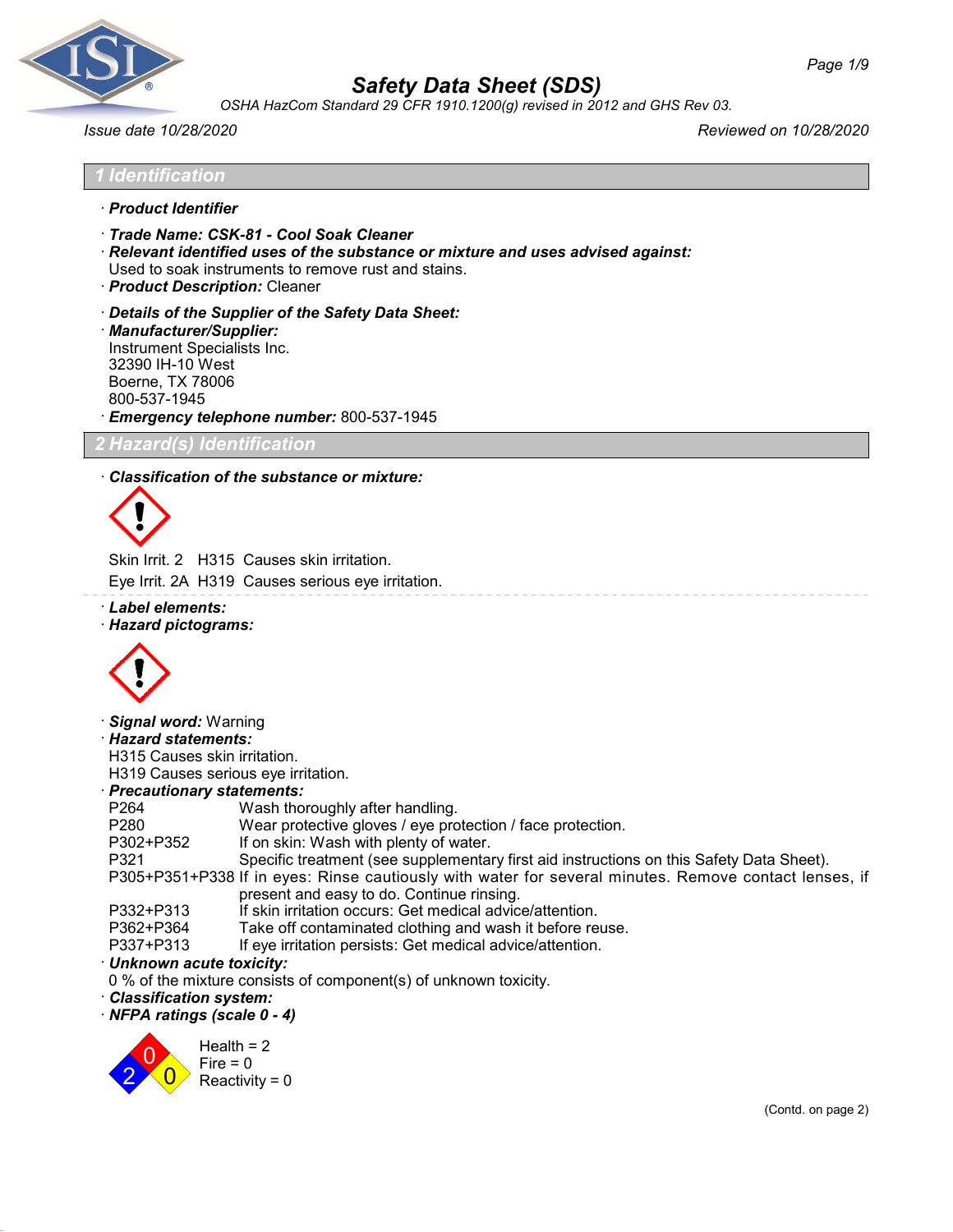

*OSHA HazCom Standard 29 CFR 1910.1200(g) revised in 2012 and GHS Rev 03.*

*1 Identification* · *Product Identifier*

*Issue date 10/28/2020 Reviewed on 10/28/2020*

Used to soak instruments to remove rust and stains. · *Product Description:* Cleaner · *Details of the Supplier of the Safety Data Sheet:* · *Manufacturer/Supplier:* Instrument Specialists Inc. 32390 IH-10 West Boerne, TX 78006 800-537-1945 · *Emergency telephone number:* 800-537-1945 *izard(s) Identificati* · *Classification of the substance or mixture:*

· *Relevant identified uses of the substance or mixture and uses advised against:*



Skin Irrit. 2 H315 Causes skin irritation.

· *Trade Name: CSK-81 - Cool Soak Cleaner*

Eye Irrit. 2A H319 Causes serious eye irritation.

- · *Label elements:*
- · *Hazard pictograms:*



· *Signal word:* Warning

· *Hazard statements:*

H315 Causes skin irritation.

H319 Causes serious eye irritation.

### · *Precautionary statements:*

| P264      | Wash thoroughly after handling.                                                                       |
|-----------|-------------------------------------------------------------------------------------------------------|
| P280      | Wear protective gloves / eye protection / face protection.                                            |
| P302+P352 | If on skin: Wash with plenty of water.                                                                |
| P321      | Specific treatment (see supplementary first aid instructions on this Safety Data Sheet).              |
|           | P305+P351+P338 If in eyes: Rinse cautiously with water for several minutes. Remove contact lenses, if |
|           | present and easy to do. Continue rinsing.                                                             |
| P332+P313 | If skin irritation occurs: Get medical advice/attention.                                              |
| P362+P364 | Take off contaminated clothing and wash it before reuse.                                              |
| P337+P313 | If eye irritation persists: Get medical advice/attention.                                             |
|           |                                                                                                       |

### · *Unknown acute toxicity:*

0 % of the mixture consists of component(s) of unknown toxicity.

- · *Classification system:*
- · *NFPA ratings (scale 0 4)*

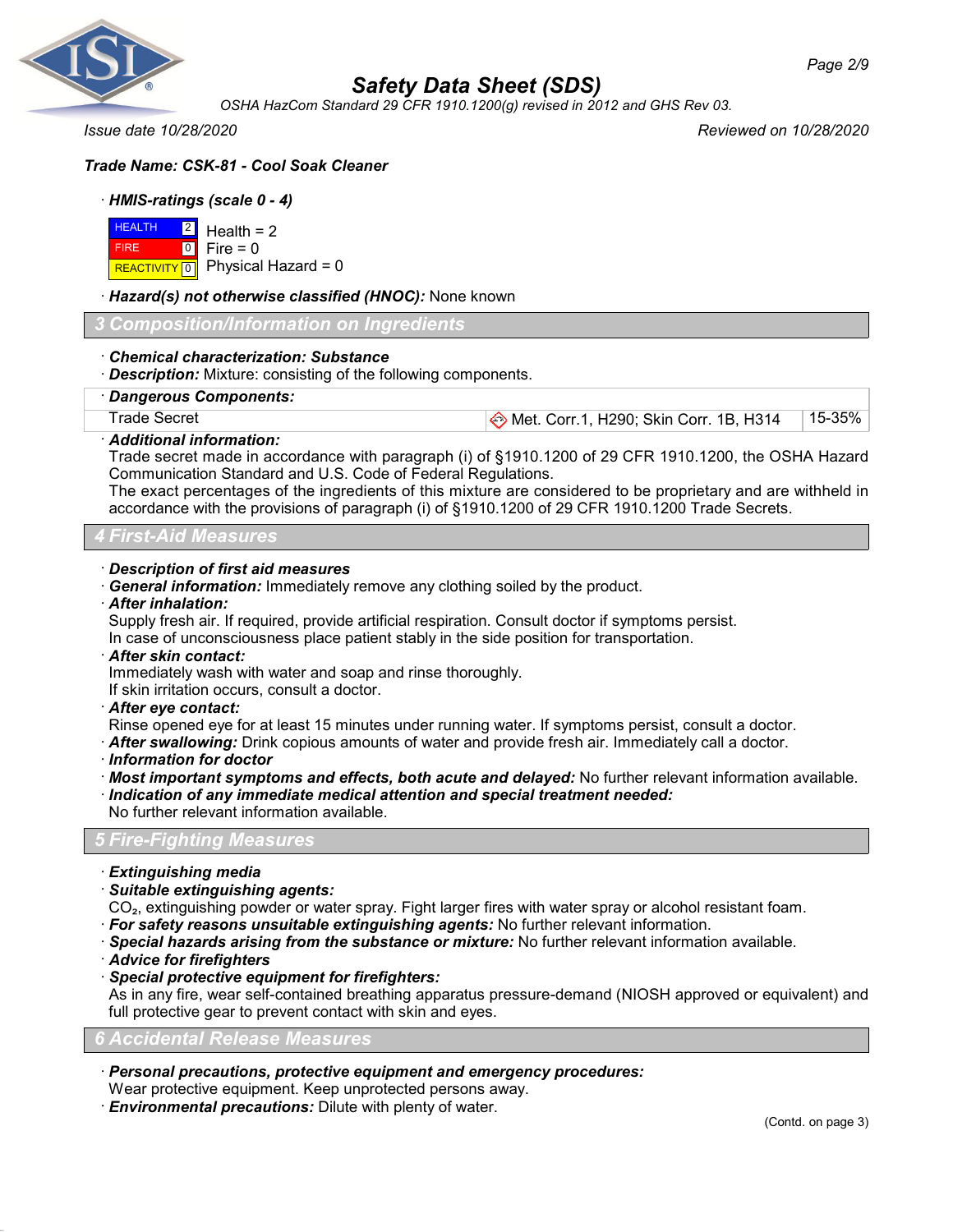

# *Safety Data Sheet (SDS)*

*OSHA HazCom Standard 29 CFR 1910.1200(g) revised in 2012 and GHS Rev 03.*

*Issue date 10/28/2020 Reviewed on 10/28/2020*

# *Trade Name: CSK-81 - Cool Soak Cleaner*

### · *HMIS-ratings (scale 0 - 4)*

|             | $HEALTH$ 2 Health = 2                    |
|-------------|------------------------------------------|
| <b>FIRE</b> | $\blacksquare$ 0 $\blacksquare$ Fire = 0 |
|             | REACTIVITY 0   Physical Hazard = 0       |

### · *Hazard(s) not otherwise classified (HNOC):* None known

*3 Composition/Information on Ingredients*

### · *Chemical characterization: Substance*

· *Description:* Mixture: consisting of the following components.

· *Dangerous Components:*

# Trade Secret **Met. Corr.1, H290; Skin Corr. 1B, H314** 15-35%

### · *Additional information:*

Trade secret made in accordance with paragraph (i) of §1910.1200 of 29 CFR 1910.1200, the OSHA Hazard Communication Standard and U.S. Code of Federal Regulations.

The exact percentages of the ingredients of this mixture are considered to be proprietary and are withheld in accordance with the provisions of paragraph (i) of §1910.1200 of 29 CFR 1910.1200 Trade Secrets.

### *4 First-Aid Measures*

### · *Description of first aid measures*

· *General information:* Immediately remove any clothing soiled by the product.

· *After inhalation:*

Supply fresh air. If required, provide artificial respiration. Consult doctor if symptoms persist.

In case of unconsciousness place patient stably in the side position for transportation.

· *After skin contact:*

Immediately wash with water and soap and rinse thoroughly.

If skin irritation occurs, consult a doctor.

· *After eye contact:*

Rinse opened eye for at least 15 minutes under running water. If symptoms persist, consult a doctor.

- · *After swallowing:* Drink copious amounts of water and provide fresh air. Immediately call a doctor.
- · *Information for doctor*
- · *Most important symptoms and effects, both acute and delayed:* No further relevant information available. · *Indication of any immediate medical attention and special treatment needed:* No further relevant information available.

### *5 Fire-Fighting Measures*

· *Extinguishing media*

### · *Suitable extinguishing agents:*

CO₂, extinguishing powder or water spray. Fight larger fires with water spray or alcohol resistant foam.

- · *For safety reasons unsuitable extinguishing agents:* No further relevant information.
- · *Special hazards arising from the substance or mixture:* No further relevant information available.
- · *Advice for firefighters*

### · *Special protective equipment for firefighters:*

As in any fire, wear self-contained breathing apparatus pressure-demand (NIOSH approved or equivalent) and full protective gear to prevent contact with skin and eyes.

#### *6 Accidental Release Measures*

- · *Personal precautions, protective equipment and emergency procedures:*
- Wear protective equipment. Keep unprotected persons away.
- · *Environmental precautions:* Dilute with plenty of water.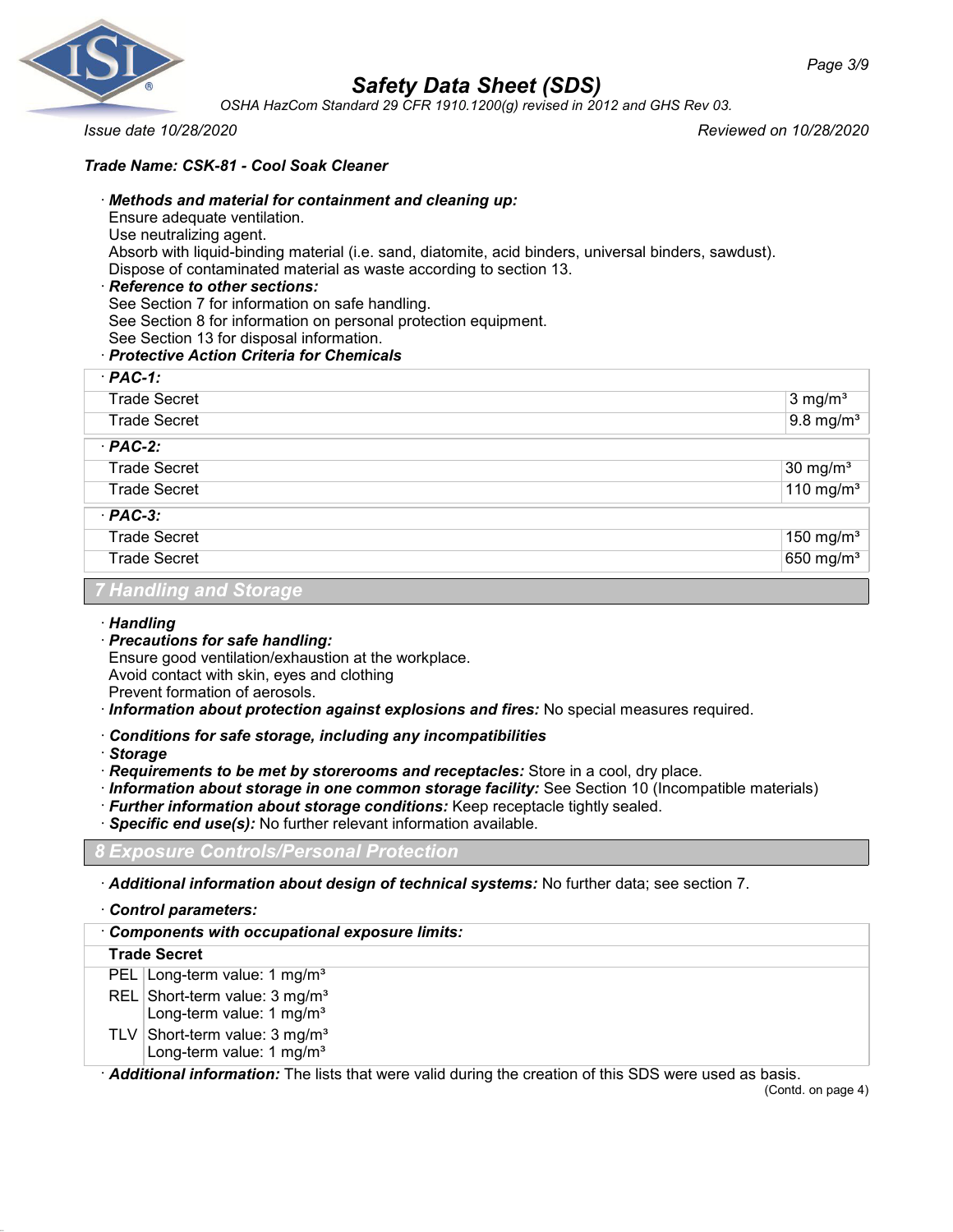

*OSHA HazCom Standard 29 CFR 1910.1200(g) revised in 2012 and GHS Rev 03.*

*Issue date 10/28/2020 Reviewed on 10/28/2020*

### *Trade Name: CSK-81 - Cool Soak Cleaner*

### · *Methods and material for containment and cleaning up:* Ensure adequate ventilation.

Use neutralizing agent.

Absorb with liquid-binding material (i.e. sand, diatomite, acid binders, universal binders, sawdust).

Dispose of contaminated material as waste according to section 13.

### · *Reference to other sections:*

- See Section 7 for information on safe handling.
- See Section 8 for information on personal protection equipment.
- See Section 13 for disposal information.

### · *Protective Action Criteria for Chemicals*

| $·$ PAC-1:                         |                         |
|------------------------------------|-------------------------|
| <b>Trade Secret</b>                | $3$ mg/m <sup>3</sup>   |
| <b>Trade Secret</b>                | $9.8$ mg/m <sup>3</sup> |
| $·$ PAC-2:                         |                         |
| <b>Trade Secret</b>                | $30 \text{ mg/m}^3$     |
| <b>Trade Secret</b>                | 110 mg/m $3$            |
| $·$ PAC-3:                         |                         |
| <b>Trade Secret</b>                | 150 mg/ $m3$            |
| <b>Trade Secret</b>                | 650 mg/m <sup>3</sup>   |
| <b>Tilling His common Advances</b> |                         |

### *7 Handling and Storage*

### · *Handling*

· *Precautions for safe handling:*

Ensure good ventilation/exhaustion at the workplace. Avoid contact with skin, eyes and clothing

Prevent formation of aerosols.

- · *Information about protection against explosions and fires:* No special measures required.
- · *Conditions for safe storage, including any incompatibilities*
- · *Storage*
- · *Requirements to be met by storerooms and receptacles:* Store in a cool, dry place.
- · *Information about storage in one common storage facility:* See Section 10 (Incompatible materials)
- · *Further information about storage conditions:* Keep receptacle tightly sealed.
- · *Specific end use(s):* No further relevant information available.

### *8 Exposure Controls/Personal Protection*

· *Additional information about design of technical systems:* No further data; see section 7.

### · *Control parameters:*

| Components with occupational exposure limits:                                                         |  |
|-------------------------------------------------------------------------------------------------------|--|
| <b>Trade Secret</b>                                                                                   |  |
| PEL   Long-term value: 1 mg/m <sup>3</sup>                                                            |  |
| REL Short-term value: $3 \text{ mg/m}^3$<br>Long-term value: 1 mg/m <sup>3</sup>                      |  |
| TLV Short-term value: $3 \text{ mg/m}^3$<br>Long-term value: 1 mg/m <sup>3</sup>                      |  |
| Additional information: The lists that were valid during the creation of this SDS were used as basis. |  |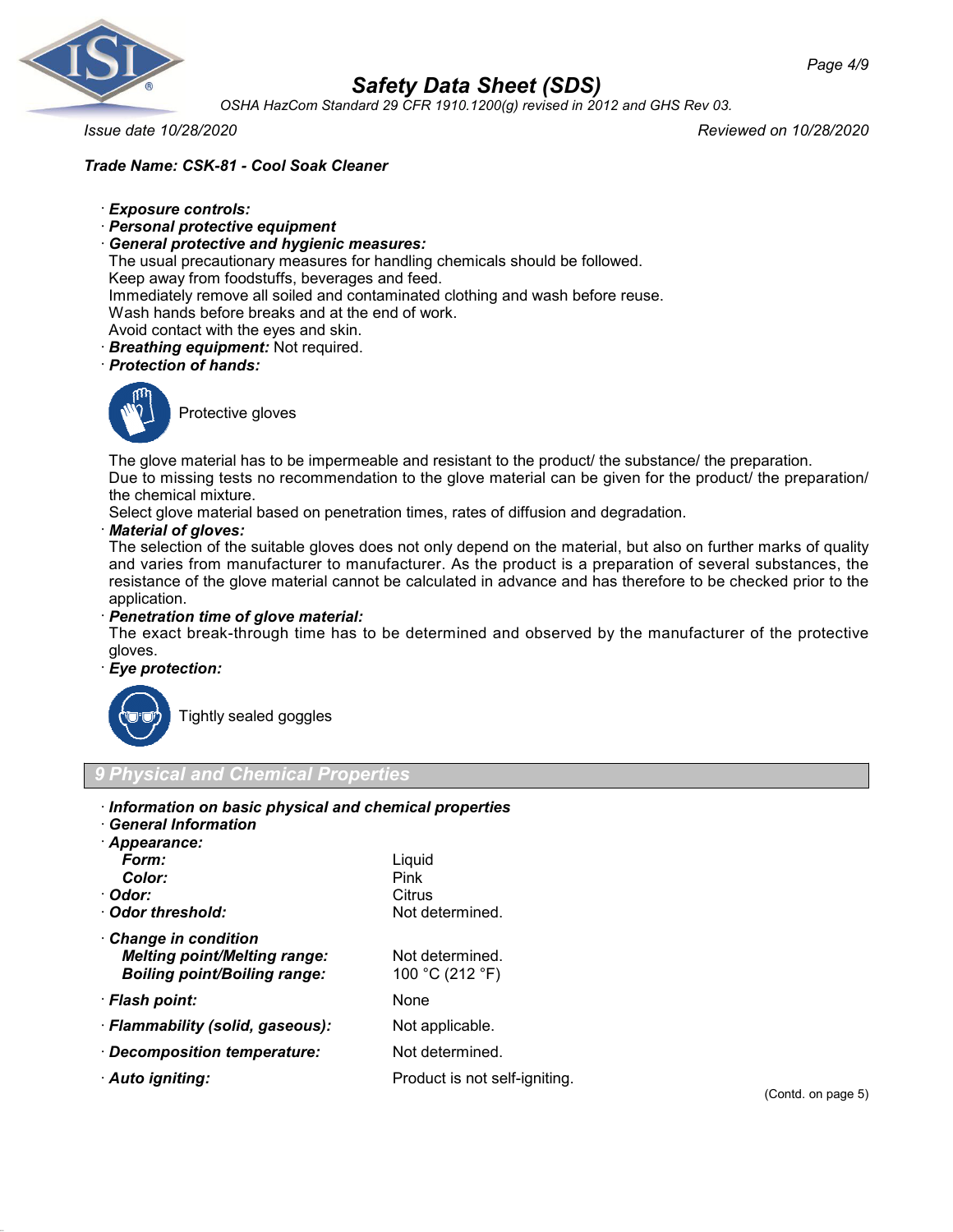

*OSHA HazCom Standard 29 CFR 1910.1200(g) revised in 2012 and GHS Rev 03.*

*Issue date 10/28/2020 Reviewed on 10/28/2020*

### *Trade Name: CSK-81 - Cool Soak Cleaner*

- · *Exposure controls:*
- · *Personal protective equipment*
- · *General protective and hygienic measures:*

The usual precautionary measures for handling chemicals should be followed.

Keep away from foodstuffs, beverages and feed.

Immediately remove all soiled and contaminated clothing and wash before reuse.

Wash hands before breaks and at the end of work.

Avoid contact with the eyes and skin.

· *Breathing equipment:* Not required.

### · *Protection of hands:*



Protective gloves

The glove material has to be impermeable and resistant to the product/ the substance/ the preparation. Due to missing tests no recommendation to the glove material can be given for the product/ the preparation/ the chemical mixture.

Select glove material based on penetration times, rates of diffusion and degradation.

### · *Material of gloves:*

The selection of the suitable gloves does not only depend on the material, but also on further marks of quality and varies from manufacturer to manufacturer. As the product is a preparation of several substances, the resistance of the glove material cannot be calculated in advance and has therefore to be checked prior to the application.

### · *Penetration time of glove material:*

The exact break-through time has to be determined and observed by the manufacturer of the protective gloves.

### · *Eye protection:*



Tightly sealed goggles

### *9 Physical and Chemical Properties*

| Information on basic physical and chemical properties |                               |
|-------------------------------------------------------|-------------------------------|
| <b>General Information</b>                            |                               |
| · Appearance:                                         |                               |
| Form:                                                 | Liquid                        |
| Color:                                                | Pink                          |
| · Odor:                                               | Citrus                        |
| Odor threshold:                                       | Not determined.               |
| $\cdot$ Change in condition                           |                               |
| <b>Melting point/Melting range:</b>                   | Not determined.               |
| <b>Boiling point/Boiling range:</b>                   | 100 °C (212 °F)               |
| · Flash point:                                        | None                          |
| · Flammability (solid, gaseous):                      | Not applicable.               |
| · Decomposition temperature:                          | Not determined.               |
| · Auto igniting:                                      | Product is not self-igniting. |
|                                                       |                               |

(Contd. on page 5)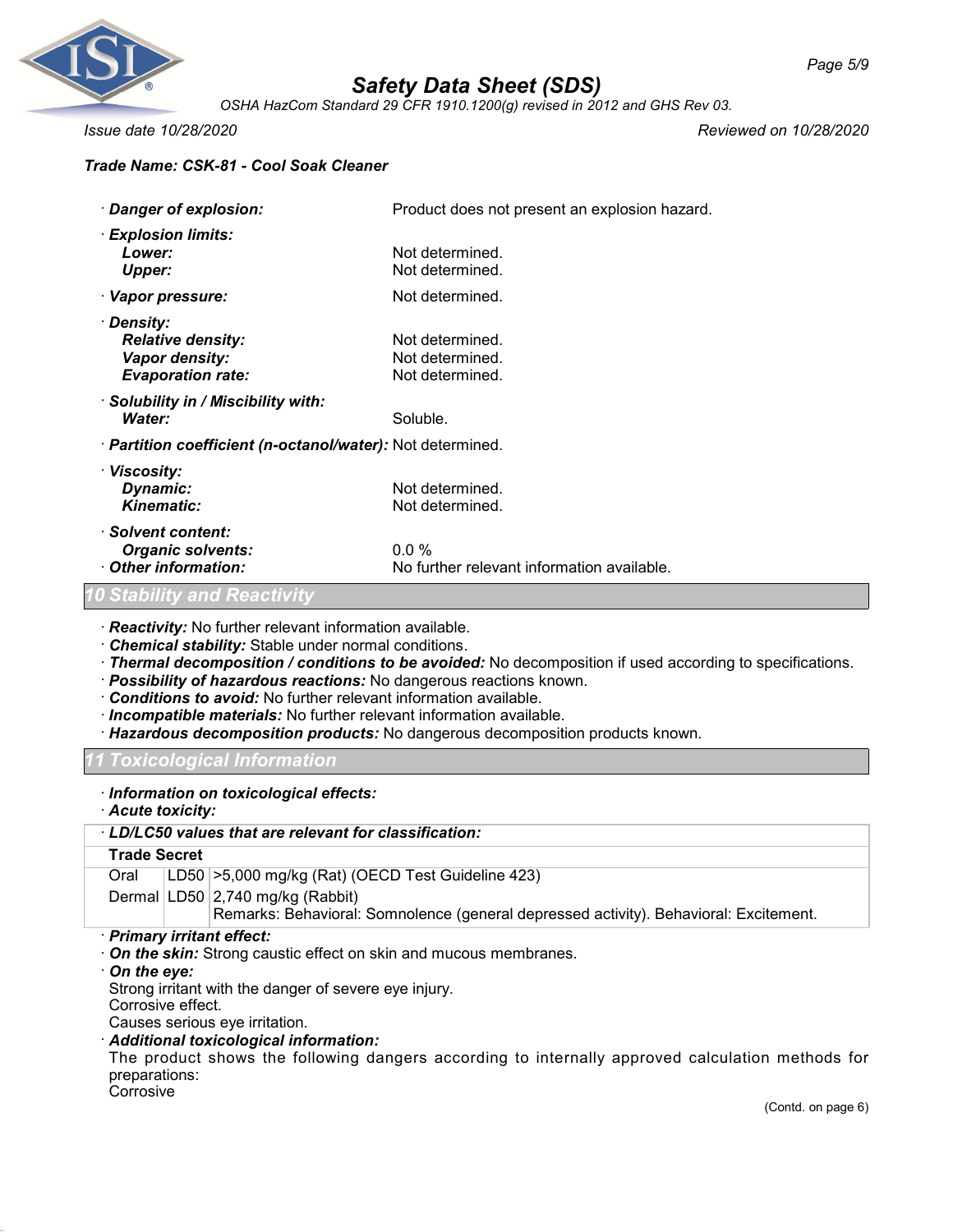

*OSHA HazCom Standard 29 CFR 1910.1200(g) revised in 2012 and GHS Rev 03.*

*Issue date 10/28/2020 Reviewed on 10/28/2020*

### *Trade Name: CSK-81 - Cool Soak Cleaner*

| · Danger of explosion:                                                               | Product does not present an explosion hazard.         |
|--------------------------------------------------------------------------------------|-------------------------------------------------------|
| · Explosion limits:<br>Lower:<br><b>Upper:</b>                                       | Not determined.<br>Not determined.                    |
| · Vapor pressure:                                                                    | Not determined.                                       |
| · Density:<br><b>Relative density:</b><br>Vapor density:<br><b>Evaporation rate:</b> | Not determined.<br>Not determined.<br>Not determined. |
| · Solubility in / Miscibility with:<br>Water:                                        | Soluble.                                              |
| · Partition coefficient (n-octanol/water): Not determined.                           |                                                       |
| · Viscosity:<br>Dynamic:<br><b>Kinematic:</b>                                        | Not determined.<br>Not determined.                    |
| · Solvent content:<br><b>Organic solvents:</b><br>Other information:                 | $0.0\%$<br>No further relevant information available. |
| <b>10 Stability and Reactivity</b>                                                   |                                                       |

· *Reactivity:* No further relevant information available.

- · *Chemical stability:* Stable under normal conditions.
- · *Thermal decomposition / conditions to be avoided:* No decomposition if used according to specifications.
- · *Possibility of hazardous reactions:* No dangerous reactions known.
- · *Conditions to avoid:* No further relevant information available.
- · *Incompatible materials:* No further relevant information available.
- · *Hazardous decomposition products:* No dangerous decomposition products known.

*11 Toxicological Information*

· *Information on toxicological effects:*

· *Acute toxicity:*

|                                                                                         | · LD/LC50 values that are relevant for classification:                                                                                                                                                                                                                                                             |
|-----------------------------------------------------------------------------------------|--------------------------------------------------------------------------------------------------------------------------------------------------------------------------------------------------------------------------------------------------------------------------------------------------------------------|
| <b>Trade Secret</b>                                                                     |                                                                                                                                                                                                                                                                                                                    |
| Oral                                                                                    | LD50 > 5,000 mg/kg (Rat) (OECD Test Guideline 423)                                                                                                                                                                                                                                                                 |
|                                                                                         | Dermal LD50 2,740 mg/kg (Rabbit)                                                                                                                                                                                                                                                                                   |
|                                                                                         | Remarks: Behavioral: Somnolence (general depressed activity). Behavioral: Excitement.                                                                                                                                                                                                                              |
| · Primary irritant effect:<br>$\cdot$ On the eye:<br>Corrosive effect.<br>nronorotiono: | $\cdot$ On the skin: Strong caustic effect on skin and mucous membranes.<br>Strong irritant with the danger of severe eye injury.<br>Causes serious eye irritation.<br>· Additional toxicological information:<br>The product shows the following dangers according to internally approved calculation methods for |

preparations: Corrosive

(Contd. on page 6)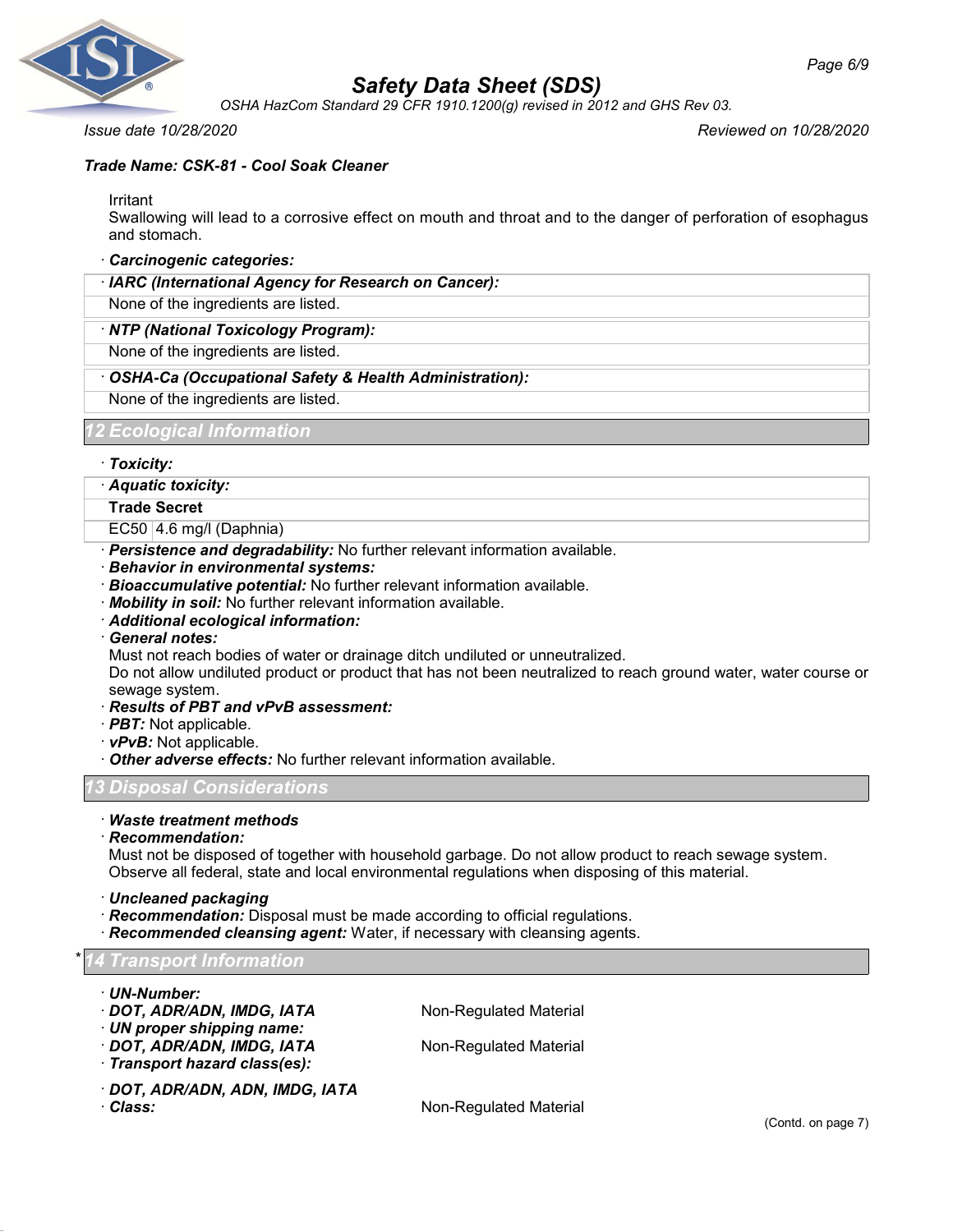

*OSHA HazCom Standard 29 CFR 1910.1200(g) revised in 2012 and GHS Rev 03.*

*Issue date 10/28/2020 Reviewed on 10/28/2020*

## *Trade Name: CSK-81 - Cool Soak Cleaner*

Irritant

Swallowing will lead to a corrosive effect on mouth and throat and to the danger of perforation of esophagus and stomach.

### · *Carcinogenic categories:*

· *IARC (International Agency for Research on Cancer):*

None of the ingredients are listed.

### · *NTP (National Toxicology Program):*

None of the ingredients are listed.

### · *OSHA-Ca (Occupational Safety & Health Administration):*

None of the ingredients are listed.

### *12 Ecological Information*

· *Toxicity:*

### · *Aquatic toxicity:*

**Trade Secret**

- EC50 4.6 mg/l (Daphnia)
- · *Persistence and degradability:* No further relevant information available.
- · *Behavior in environmental systems:*
- · *Bioaccumulative potential:* No further relevant information available.
- · *Mobility in soil:* No further relevant information available.
- · *Additional ecological information:*
- · *General notes:*

Must not reach bodies of water or drainage ditch undiluted or unneutralized.

Do not allow undiluted product or product that has not been neutralized to reach ground water, water course or sewage system.

- · *Results of PBT and vPvB assessment:*
- · *PBT:* Not applicable.
- · *vPvB:* Not applicable.
- · *Other adverse effects:* No further relevant information available.

### *13 Disposal Considerations*

### · *Waste treatment methods*

· *Recommendation:*

Must not be disposed of together with household garbage. Do not allow product to reach sewage system. Observe all federal, state and local environmental regulations when disposing of this material.

· *Uncleaned packaging*

- · *Recommendation:* Disposal must be made according to official regulations.
- · *Recommended cleansing agent:* Water, if necessary with cleansing agents.

\* *14 Transport Information*

- · *UN-Number:*
- · **DOT, ADR/ADN, IMDG, IATA** Non-Regulated Material
- · *UN proper shipping name:*
- · **DOT, ADR/ADN, IMDG, IATA** Non-Regulated Material
- · *Transport hazard class(es):*
- · *DOT, ADR/ADN, ADN, IMDG, IATA*

· **Class:** Non-Regulated Material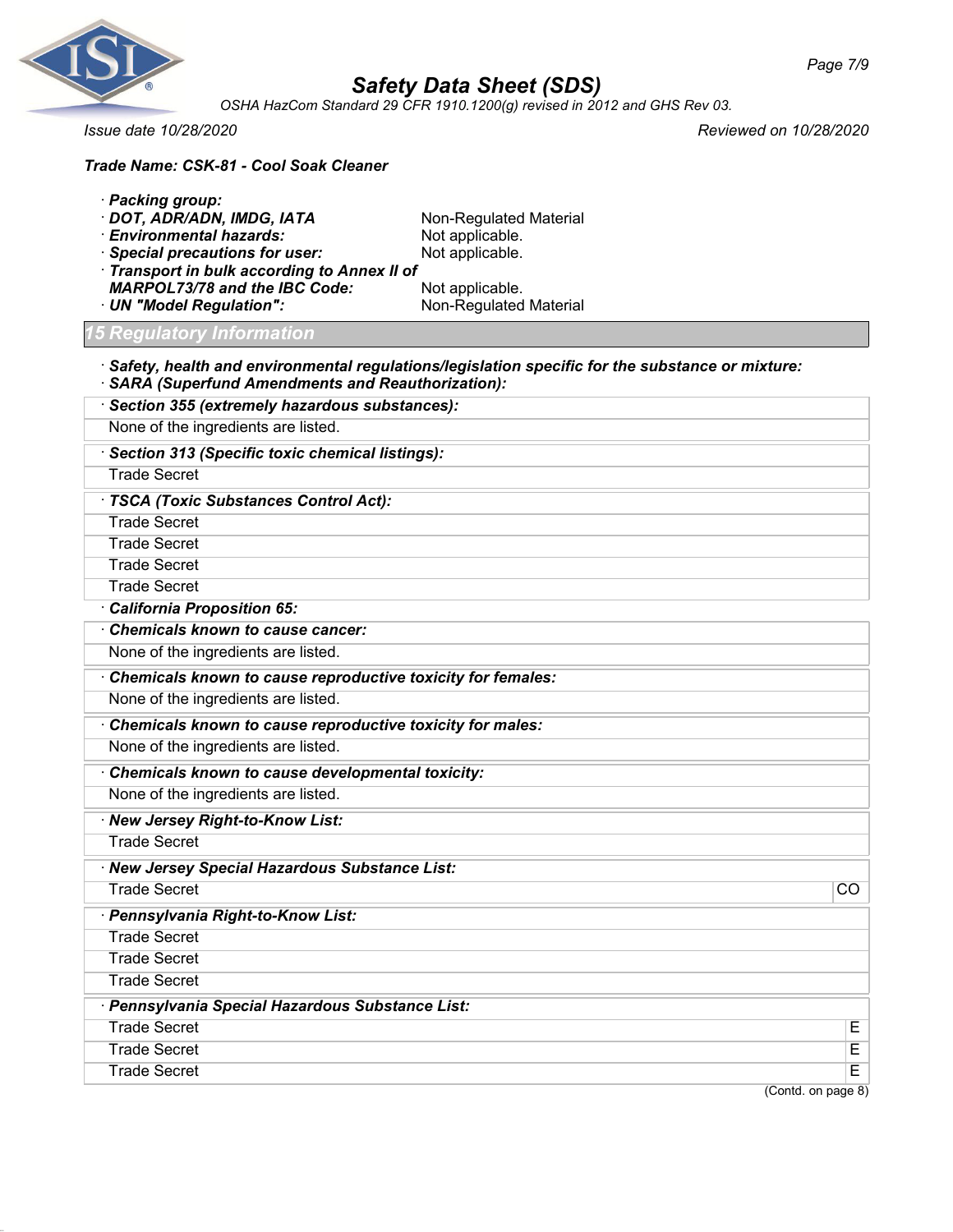

*OSHA HazCom Standard 29 CFR 1910.1200(g) revised in 2012 and GHS Rev 03.*

*Issue date 10/28/2020 Reviewed on 10/28/2020*

| Trade Name: CSK-81 - Cool Soak Cleaner                                          |                                                                                                         |
|---------------------------------------------------------------------------------|---------------------------------------------------------------------------------------------------------|
| · Packing group:                                                                |                                                                                                         |
| · DOT, ADR/ADN, IMDG, IATA                                                      | Non-Regulated Material                                                                                  |
| · Environmental hazards:                                                        | Not applicable.                                                                                         |
| · Special precautions for user:<br>· Transport in bulk according to Annex II of | Not applicable.                                                                                         |
| <b>MARPOL73/78 and the IBC Code:</b>                                            | Not applicable.                                                                                         |
| · UN "Model Regulation":                                                        | Non-Regulated Material                                                                                  |
| <b>Regulatory Information</b>                                                   |                                                                                                         |
| · SARA (Superfund Amendments and Reauthorization):                              | $\cdot$ Safety, health and environmental regulations/legislation specific for the substance or mixture: |
| · Section 355 (extremely hazardous substances):                                 |                                                                                                         |
| None of the ingredients are listed.                                             |                                                                                                         |
| · Section 313 (Specific toxic chemical listings):                               |                                                                                                         |
| <b>Trade Secret</b>                                                             |                                                                                                         |
| · TSCA (Toxic Substances Control Act):                                          |                                                                                                         |
| <b>Trade Secret</b>                                                             |                                                                                                         |
| <b>Trade Secret</b>                                                             |                                                                                                         |
| <b>Trade Secret</b>                                                             |                                                                                                         |
| <b>Trade Secret</b>                                                             |                                                                                                         |
| California Proposition 65:                                                      |                                                                                                         |
| Chemicals known to cause cancer:                                                |                                                                                                         |
| None of the ingredients are listed.                                             |                                                                                                         |
| Chemicals known to cause reproductive toxicity for females:                     |                                                                                                         |
| None of the ingredients are listed.                                             |                                                                                                         |
| Chemicals known to cause reproductive toxicity for males:                       |                                                                                                         |
| None of the ingredients are listed.                                             |                                                                                                         |
| Chemicals known to cause developmental toxicity:                                |                                                                                                         |
| None of the ingredients are listed.                                             |                                                                                                         |
| · New Jersey Right-to-Know List:                                                |                                                                                                         |
| <b>Trade Secret</b>                                                             |                                                                                                         |
| · New Jersey Special Hazardous Substance List:                                  |                                                                                                         |
| <b>Trade Secret</b>                                                             | $\overline{CO}$                                                                                         |
| · Pennsylvania Right-to-Know List:                                              |                                                                                                         |
| <b>Trade Secret</b>                                                             |                                                                                                         |
| <b>Trade Secret</b>                                                             |                                                                                                         |
| <b>Trade Secret</b>                                                             |                                                                                                         |
| · Pennsylvania Special Hazardous Substance List:                                |                                                                                                         |
| <b>Trade Secret</b>                                                             | Е                                                                                                       |
| <b>Trade Secret</b>                                                             | Е                                                                                                       |
| <b>Trade Secret</b>                                                             | E.                                                                                                      |

(Contd. on page 8)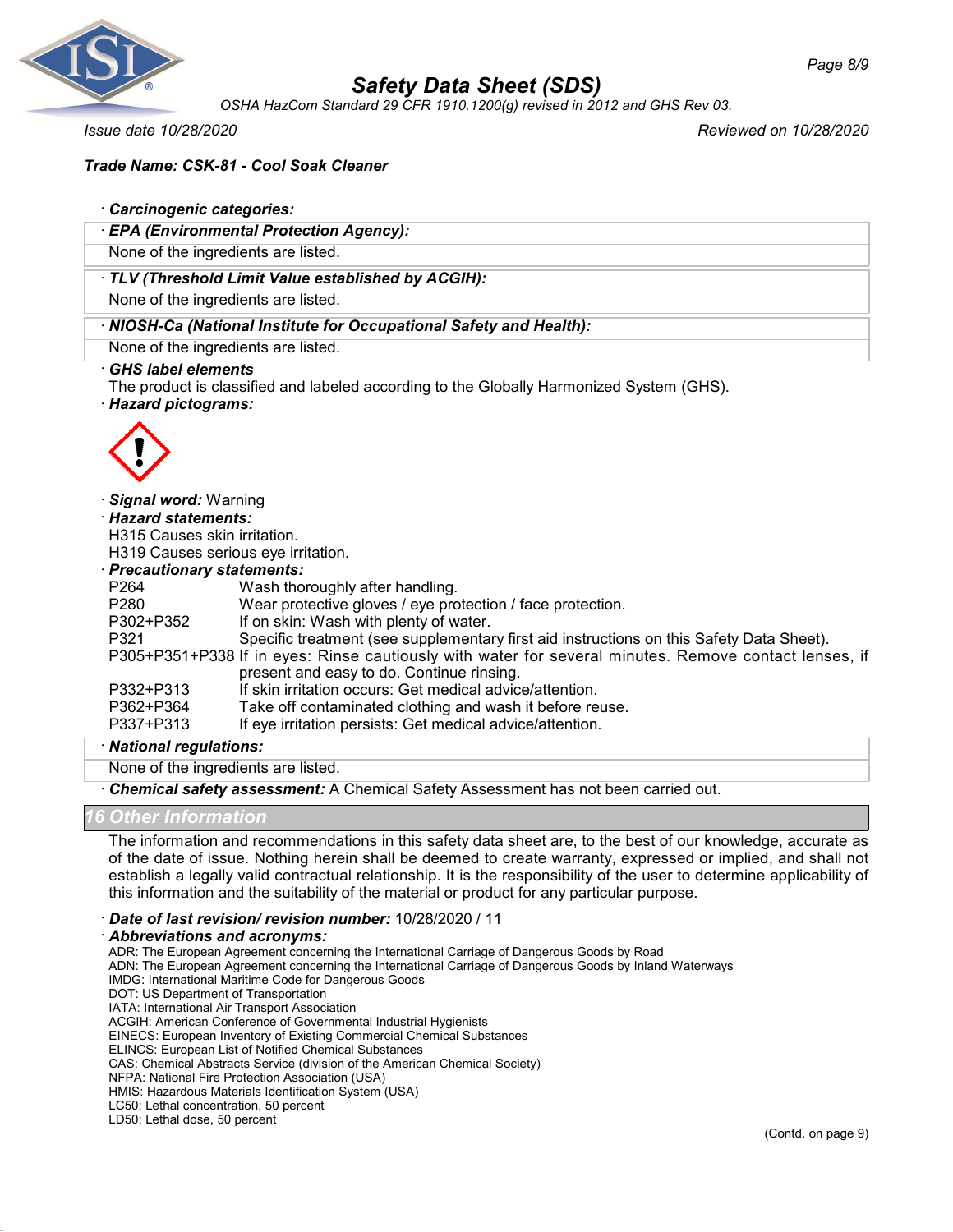

*OSHA HazCom Standard 29 CFR 1910.1200(g) revised in 2012 and GHS Rev 03.*

*Issue date 10/28/2020 Reviewed on 10/28/2020*

### *Trade Name: CSK-81 - Cool Soak Cleaner*

#### · *Carcinogenic categories:*

· *EPA (Environmental Protection Agency):*

None of the ingredients are listed.

### · *TLV (Threshold Limit Value established by ACGIH):*

None of the ingredients are listed.

### · *NIOSH-Ca (National Institute for Occupational Safety and Health):*

None of the ingredients are listed.

#### · *GHS label elements*

The product is classified and labeled according to the Globally Harmonized System (GHS).

#### · *Hazard pictograms:*



#### · *Signal word:* Warning

· *Hazard statements:*

H315 Causes skin irritation.

H319 Causes serious eye irritation.

#### · *Precautionary statements:*

| P <sub>264</sub> | Wash thoroughly after handling.                                                                       |
|------------------|-------------------------------------------------------------------------------------------------------|
| P <sub>280</sub> | Wear protective gloves / eye protection / face protection.                                            |
| P302+P352        | If on skin: Wash with plenty of water.                                                                |
| P321             | Specific treatment (see supplementary first aid instructions on this Safety Data Sheet).              |
|                  | P305+P351+P338 If in eyes: Rinse cautiously with water for several minutes. Remove contact lenses, if |
|                  | present and easy to do. Continue rinsing.                                                             |
| P332+P313        | If skin irritation occurs: Get medical advice/attention.                                              |
| P362+P364        | Take off contaminated clothing and wash it before reuse.                                              |
| P337+P313        | If eye irritation persists: Get medical advice/attention.                                             |
|                  |                                                                                                       |

#### · *National regulations:*

None of the ingredients are listed.

· *Chemical safety assessment:* A Chemical Safety Assessment has not been carried out.

#### *16 Other Information*

The information and recommendations in this safety data sheet are, to the best of our knowledge, accurate as of the date of issue. Nothing herein shall be deemed to create warranty, expressed or implied, and shall not establish a legally valid contractual relationship. It is the responsibility of the user to determine applicability of this information and the suitability of the material or product for any particular purpose.

### · *Date of last revision/ revision number:* 10/28/2020 / 11

#### · *Abbreviations and acronyms:*

ADR: The European Agreement concerning the International Carriage of Dangerous Goods by Road

ADN: The European Agreement concerning the International Carriage of Dangerous Goods by Inland Waterways

IMDG: International Maritime Code for Dangerous Goods

DOT: US Department of Transportation

IATA: International Air Transport Association

ACGIH: American Conference of Governmental Industrial Hygienists

EINECS: European Inventory of Existing Commercial Chemical Substances

ELINCS: European List of Notified Chemical Substances

CAS: Chemical Abstracts Service (division of the American Chemical Society)

NFPA: National Fire Protection Association (USA)

HMIS: Hazardous Materials Identification System (USA)

LC50: Lethal concentration, 50 percent LD50: Lethal dose, 50 percent